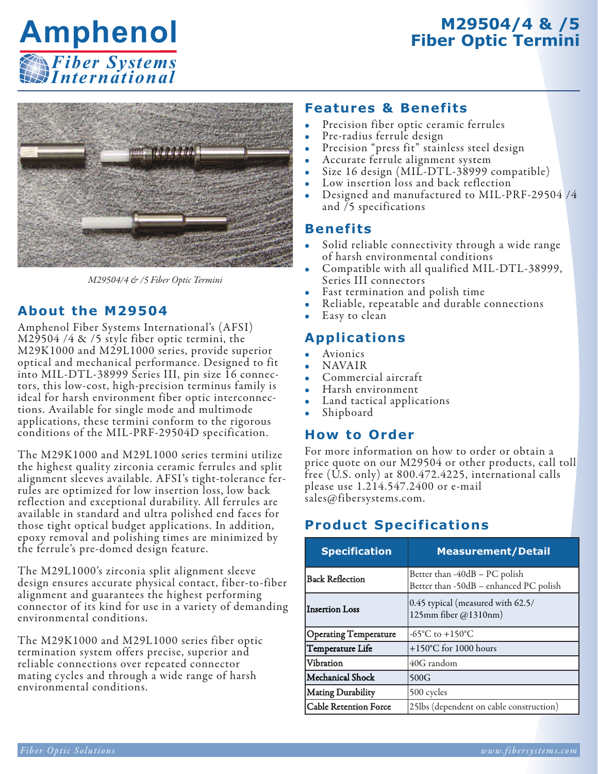# **M29504/4 & /5 Fiber Optic Termini**





*M29504/4 & /5 Fiber Optic Termini*

### **About the M29504**

Amphenol Fiber Systems International's (AFSI) M29504 /4 & /5 style fiber optic termini, the M29K1000 and M29L1000 series, provide superior optical and mechanical performance. Designed to fit into MIL-DTL-38999 Series III, pin size 16 connectors, this low-cost, high-precision terminus family is ideal for harsh environment fiber optic interconnections. Available for single mode and multimode applications, these termini conform to the rigorous conditions of the MIL-PRF-29504D specification.

The M29K1000 and M29L1000 series termini utilize the highest quality zirconia ceramic ferrules and split alignment sleeves available. AFSI's tight-tolerance ferrules are optimized for low insertion loss, low back reflection and exceptional durability. All ferrules are available in standard and ultra polished end faces for those tight optical budget applications. In addition, epoxy removal and polishing times are minimized by the ferrule's pre-domed design feature.

The M29L1000's zirconia split alignment sleeve design ensures accurate physical contact, fiber-to-fiber alignment and guarantees the highest performing connector of its kind for use in a variety of demanding environmental conditions.

The M29K1000 and M29L1000 series fiber optic termination system offers precise, superior and reliable connections over repeated connector mating cycles and through a wide range of harsh environmental conditions.

### **Features & Benefits**

- Precision fiber optic ceramic ferrules
- Pre-radius ferrule design
- Precision "press fit" stainless steel design
- Accurate ferrule alignment system
- Size 16 design (MIL-DTL-38999 compatible)
- Low insertion loss and back reflection
- Designed and manufactured to MIL-PRF-29504 /4 and /5 specifications

#### **Benefits**

- Solid reliable connectivity through a wide range<br>of harsh environmental conditions
- Compatible with all qualified MIL-DTL-38999,<br>Series III connectors<br>• Fast termination and polish time<br>• Reliable, repeatable and durable connections<br>• Easy to clean
- 
- 
- 

#### **Applications**

- **Avionics**
- NAVAIR
- Commercial aircraft
- Harsh environment
- Land tactical applications<br>Shipboard
- 

#### **How to Order**

For more information on how to order or obtain a price quote on our M29504 or other products, call toll free (U.S. only) at 800.472.4225, international calls please use 1.214.547.2400 or e-mail sales@fibersystems.com.

## **Product Specifications**

| <b>Specification</b>         | <b>Measurement/Detail</b>                                               |  |  |
|------------------------------|-------------------------------------------------------------------------|--|--|
| <b>Back Reflection</b>       | Better than -40dB - PC polish<br>Better than -50dB - enhanced PC polish |  |  |
| <b>Insertion Loss</b>        | 0.45 typical (measured with 62.5/<br>125mm fiber @1310nm)               |  |  |
| <b>Operating Temperature</b> | -65 $\mathrm{^{\circ}C}$ to +150 $\mathrm{^{\circ}C}$                   |  |  |
| Temperature Life             | +150°C for 1000 hours                                                   |  |  |
| Vibration                    | 40G random                                                              |  |  |
| Mechanical Shock             | 500G                                                                    |  |  |
| <b>Mating Durability</b>     | 500 cycles                                                              |  |  |
| <b>Cable Retention Force</b> | 25lbs (dependent on cable construction)                                 |  |  |